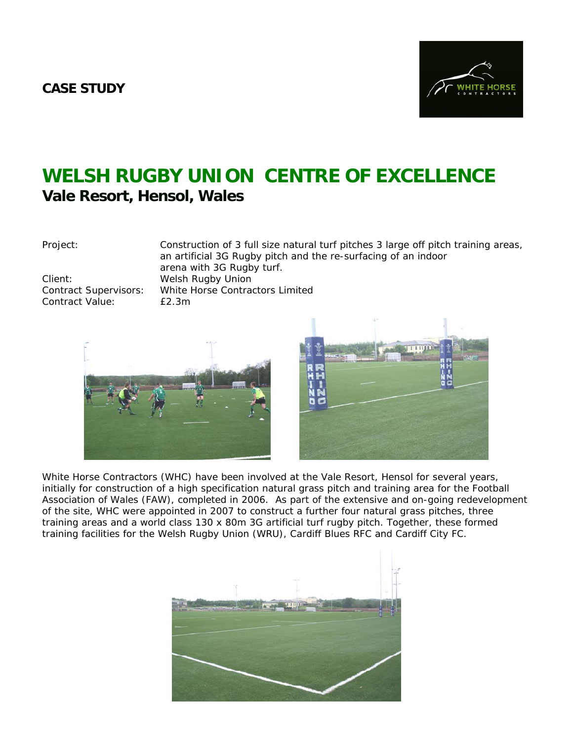## **CASE STUDY**



## **WELSH RUGBY UNION CENTRE OF EXCELLENCE Vale Resort, Hensol, Wales**

Project: Construction of 3 full size natural turf pitches 3 large off pitch training areas, an artificial 3G Rugby pitch and the re-surfacing of an indoor arena with 3G Rugby turf. Client: Welsh Rugby Union Contract Supervisors: White Horse Contractors Limited Contract Value: £2.3m





White Horse Contractors (WHC) have been involved at the Vale Resort, Hensol for several years, initially for construction of a high specification natural grass pitch and training area for the Football Association of Wales (FAW), completed in 2006. As part of the extensive and on-going redevelopment of the site, WHC were appointed in 2007 to construct a further four natural grass pitches, three training areas and a world class 130 x 80m 3G artificial turf rugby pitch. Together, these formed training facilities for the Welsh Rugby Union (WRU), Cardiff Blues RFC and Cardiff City FC.

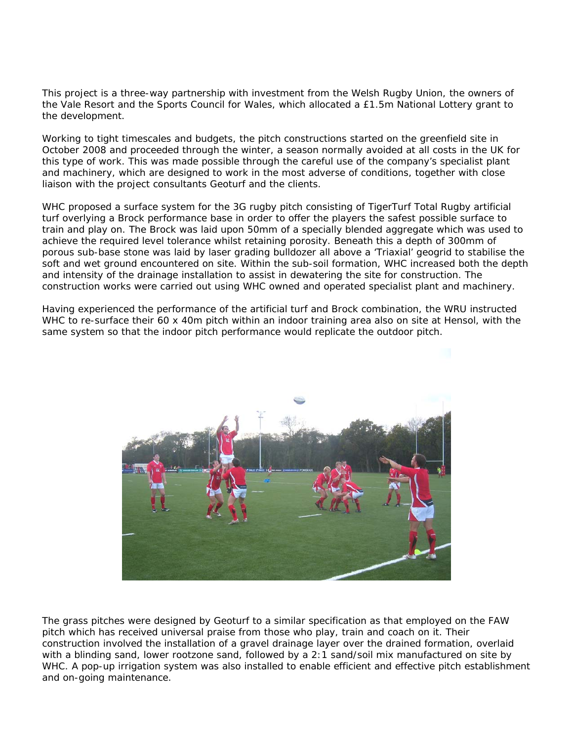This project is a three-way partnership with investment from the Welsh Rugby Union, the owners of the Vale Resort and the Sports Council for Wales, which allocated a £1.5m National Lottery grant to the development.

Working to tight timescales and budgets, the pitch constructions started on the greenfield site in October 2008 and proceeded through the winter, a season normally avoided at all costs in the UK for this type of work. This was made possible through the careful use of the company's specialist plant and machinery, which are designed to work in the most adverse of conditions, together with close liaison with the project consultants Geoturf and the clients.

WHC proposed a surface system for the 3G rugby pitch consisting of TigerTurf Total Rugby artificial turf overlying a Brock performance base in order to offer the players the safest possible surface to train and play on. The Brock was laid upon 50mm of a specially blended aggregate which was used to achieve the required level tolerance whilst retaining porosity. Beneath this a depth of 300mm of porous sub-base stone was laid by laser grading bulldozer all above a 'Triaxial' geogrid to stabilise the soft and wet ground encountered on site. Within the sub-soil formation, WHC increased both the depth and intensity of the drainage installation to assist in dewatering the site for construction. The construction works were carried out using WHC owned and operated specialist plant and machinery.

Having experienced the performance of the artificial turf and Brock combination, the WRU instructed WHC to re-surface their 60 x 40m pitch within an indoor training area also on site at Hensol, with the same system so that the indoor pitch performance would replicate the outdoor pitch.



The grass pitches were designed by Geoturf to a similar specification as that employed on the FAW pitch which has received universal praise from those who play, train and coach on it. Their construction involved the installation of a gravel drainage layer over the drained formation, overlaid with a blinding sand, lower rootzone sand, followed by a 2:1 sand/soil mix manufactured on site by WHC. A pop-up irrigation system was also installed to enable efficient and effective pitch establishment and on-going maintenance.